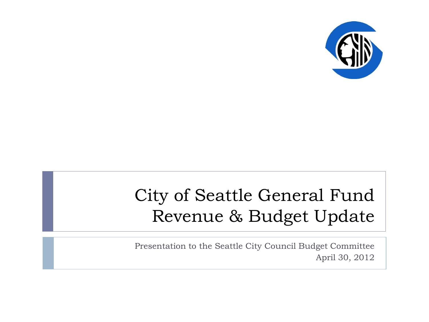

### City of Seattle General Fund Revenue & Budget Update

Presentation to the Seattle City Council Budget Committee April 30, 2012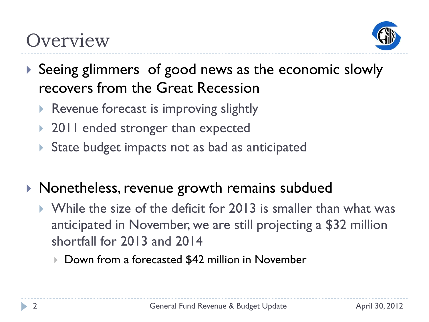### **Overview**



- Seeing glimmers of good news as the economic slowly recovers from the Great Recession
	- Revenue forecast is improving slightly
	- ▶ 2011 ended stronger than expected
	- State budget impacts not as bad as anticipated
- ▶ Nonetheless, revenue growth remains subdued
	- While the size of the deficit for 2013 is smaller than what was anticipated in November, we are still projecting a \$32 million shortfall for 2013 and 2014
		- Down from a forecasted \$42 million in November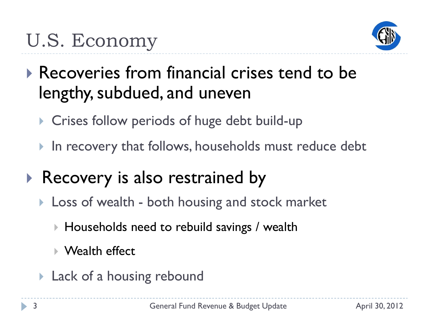

- Recoveries from financial crises tend to be lengthy, subdued, and uneven
	- ▶ Crises follow periods of huge debt build-up
	- In recovery that follows, households must reduce debt
- Recovery is also restrained by
	- **Loss of wealth both housing and stock market** 
		- Households need to rebuild savings / wealth
		- ▶ Wealth effect
	- **Lack of a housing rebound**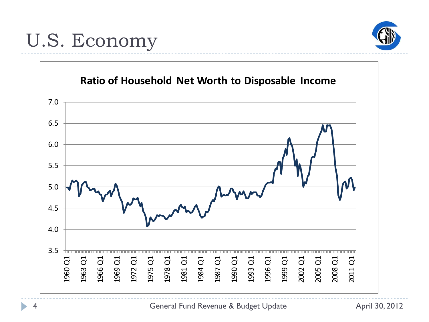### U.S. Economy





General Fund Revenue & Budget Update **April 30, 2012**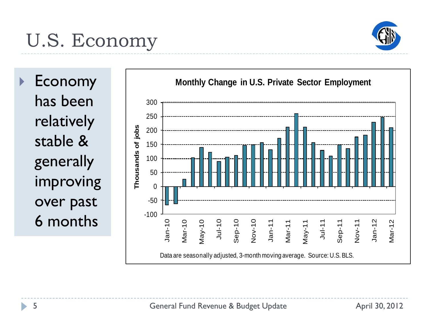# U.S. Economy



▶ Economy has been relatively stable & generally improving over past 6 months

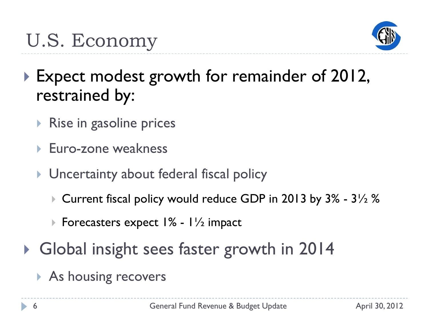

- ▶ Expect modest growth for remainder of 2012, restrained by:
	- $\triangleright$  Rise in gasoline prices
	- Euro-zone weakness
	- **I** Uncertainty about federal fiscal policy
		- $\triangleright$  Current fiscal policy would reduce GDP in 2013 by 3% 3 $\frac{1}{2}$ %
		- Forecasters expect  $1\%$   $1\frac{1}{2}$  impact
- ▶ Global insight sees faster growth in 2014
	- As housing recovers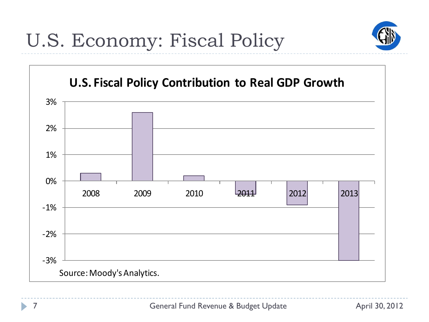



h,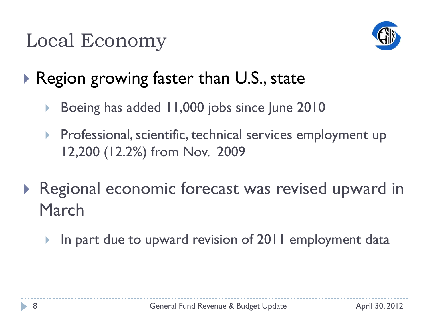

### Region growing faster than U.S., state

- Boeing has added 11,000 jobs since June 2010
- Professional, scientific, technical services employment up 12,200 (12.2%) from Nov. 2009
- ▶ Regional economic forecast was revised upward in March
	- In part due to upward revision of 2011 employment data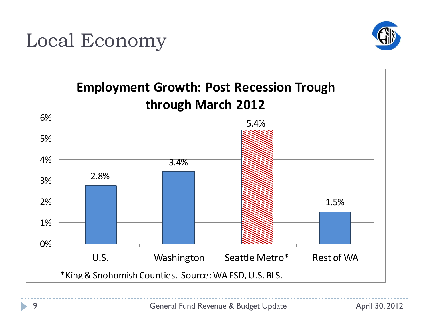## Local Economy



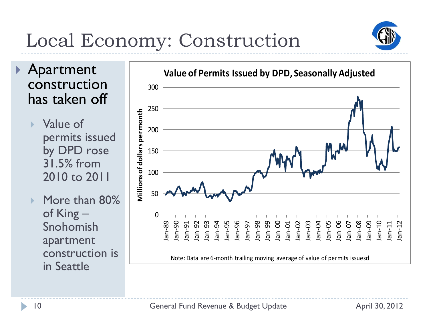# Local Economy: Construction



 Apartment construction has taken off

> ▶ Value of permits issued by DPD rose 31.5% from 2010 to 2011

▶ More than 80% of King – Snohomish apartment construction is in Seattle

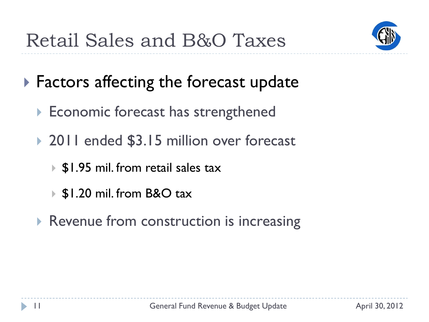

- ▶ Factors affecting the forecast update
	- ▶ Economic forecast has strengthened
	- ▶ 2011 ended \$3.15 million over forecast
		- ▶ \$1.95 mil. from retail sales tax
		- ▶ \$1.20 mil. from B&O tax
	- Revenue from construction is increasing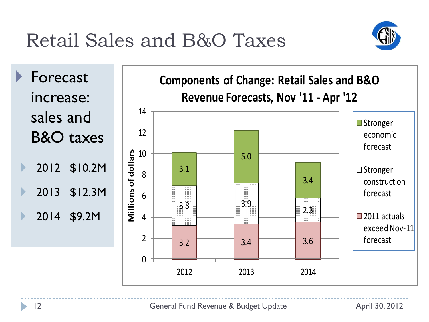Retail Sales and B&O Taxes



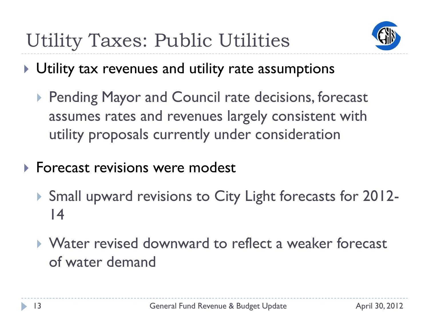

- ▶ Utility tax revenues and utility rate assumptions
	- **Pending Mayor and Council rate decisions, forecast** assumes rates and revenues largely consistent with utility proposals currently under consideration
- **Forecast revisions were modest** 
	- ▶ Small upward revisions to City Light forecasts for 2012-14
	- Water revised downward to reflect a weaker forecast of water demand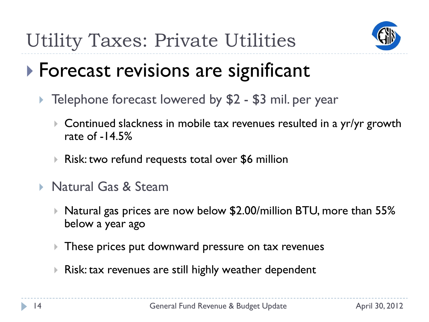

### **Forecast revisions are significant**

- ▶ Telephone forecast lowered by \$2 \$3 mil. per year
	- ▶ Continued slackness in mobile tax revenues resulted in a yr/yr growth rate of  $-14.5%$
	- ▶ Risk: two refund requests total over \$6 million
- ▶ Natural Gas & Steam
	- $\triangleright$  Natural gas prices are now below \$2.00/million BTU, more than 55% below a year ago
	- These prices put downward pressure on tax revenues
	- ▶ Risk: tax revenues are still highly weather dependent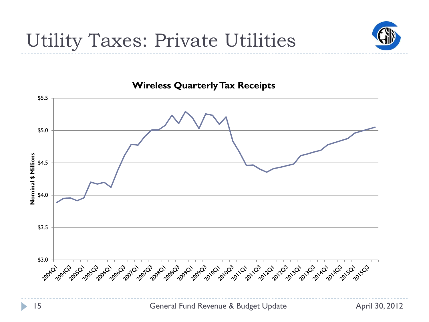



#### **Wireless Quarterly Tax Receipts**

b.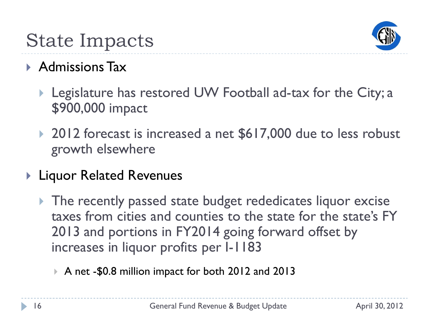

### State Impacts

### Admissions Tax

- ▶ Legislature has restored UW Football ad-tax for the City; a \$900,000 impact
- ▶ 2012 forecast is increased a net \$617,000 due to less robust growth elsewhere
- ▶ Liquor Related Revenues
	- ▶ The recently passed state budget rededicates liquor excise taxes from cities and counties to the state for the state's FY 2013 and portions in FY2014 going forward offset by increases in liquor profits per I-1183
		- A net -\$0.8 million impact for both 2012 and 2013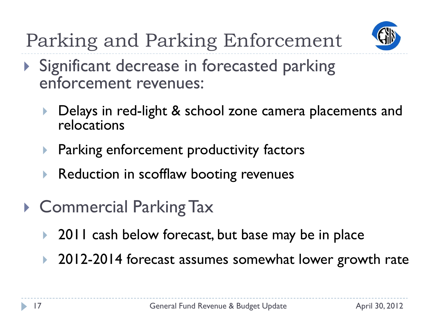

Parking and Parking Enforcement

- Significant decrease in forecasted parking enforcement revenues:
	- Delays in red-light & school zone camera placements and relocations
	- **Parking enforcement productivity factors**
	- **Reduction in scofflaw booting revenues**
- ▶ Commercial Parking Tax
	- ▶ 2011 cash below forecast, but base may be in place
	- ▶ 2012-2014 forecast assumes somewhat lower growth rate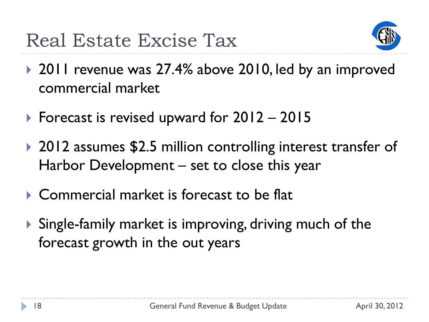

- ▶ 2011 revenue was 27.4% above 2010, led by an improved commercial market
- ▶ Forecast is revised upward for  $2012 2015$
- ▶ 2012 assumes \$2.5 million controlling interest transfer of Harbor Development – set to close this year
- ▶ Commercial market is forecast to be flat
- Single-family market is improving, driving much of the forecast growth in the out years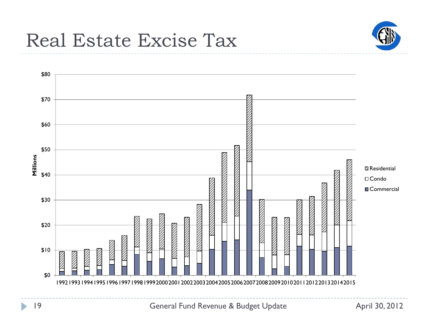





General Fund Revenue & Budget Update **April 30, 2012**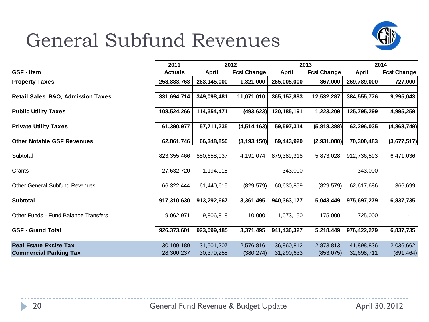### General Subfund Revenues



|                                             | 2011           |             | 2012               |               | 2013               |             | 2014               |
|---------------------------------------------|----------------|-------------|--------------------|---------------|--------------------|-------------|--------------------|
| <b>GSF</b> - Item                           | <b>Actuals</b> | April       | <b>Fcst Change</b> | <b>April</b>  | <b>Fcst Change</b> | April       | <b>Fcst Change</b> |
| <b>Property Taxes</b>                       | 258,883,763    | 263,145,000 | 1,321,000          | 265,005,000   | 867,000            | 269,789,000 | 727,000            |
|                                             |                |             |                    |               |                    |             |                    |
| Retail Sales, B&O, Admission Taxes          | 331,694,714    | 349,098,481 | 11,071,010         | 365, 157, 893 | 12,532,287         | 384,555,776 | 9,295,043          |
|                                             |                |             |                    |               |                    |             |                    |
| <b>Public Utility Taxes</b>                 | 108,524,266    | 114,354,471 | (493, 623)         | 120,185,191   | 1,223,209          | 125,795,299 | 4,995,259          |
| <b>Private Utility Taxes</b>                | 61,390,977     | 57,711,235  | (4, 514, 163)      | 59,597,314    | (5,818,388)        | 62,296,035  | (4,868,749)        |
|                                             |                |             |                    |               |                    |             |                    |
| <b>Other Notable GSF Revenues</b>           | 62,861,746     | 66,348,850  | (3, 193, 150)      | 69,443,920    | (2,931,080)        | 70,300,483  | (3,677,517)        |
|                                             |                |             |                    |               |                    |             |                    |
| Subtotal                                    | 823, 355, 466  | 850,658,037 | 4,191,074          | 879,389,318   | 5,873,028          | 912,736,593 | 6,471,036          |
| Grants                                      | 27,632,720     | 1,194,015   | $\blacksquare$     | 343,000       | $\blacksquare$     | 343,000     |                    |
|                                             |                |             |                    |               |                    |             |                    |
| <b>Other General Subfund Revenues</b>       | 66,322,444     | 61,440,615  | (829, 579)         | 60,630,859    | (829, 579)         | 62,617,686  | 366,699            |
|                                             |                |             |                    |               |                    |             |                    |
| <b>Subtotal</b>                             | 917,310,630    | 913,292,667 | 3,361,495          | 940,363,177   | 5,043,449          | 975,697,279 | 6,837,735          |
| <b>Other Funds - Fund Balance Transfers</b> | 9,062,971      | 9,806,818   | 10,000             | 1,073,150     | 175,000            | 725,000     |                    |
|                                             |                |             |                    |               |                    |             |                    |
| <b>GSF - Grand Total</b>                    | 926,373,601    | 923,099,485 | 3,371,495          | 941,436,327   | 5,218,449          | 976,422,279 | 6,837,735          |
|                                             |                |             |                    |               |                    |             |                    |
| <b>Real Estate Excise Tax</b>               | 30, 109, 189   | 31,501,207  | 2,576,816          | 36,860,812    | 2,873,813          | 41,898,836  | 2,036,662          |
| <b>Commercial Parking Tax</b>               | 28,300,237     | 30,379,255  | (380, 274)         | 31,290,633    | (853,075)          | 32,698,711  | (891, 464)         |

ь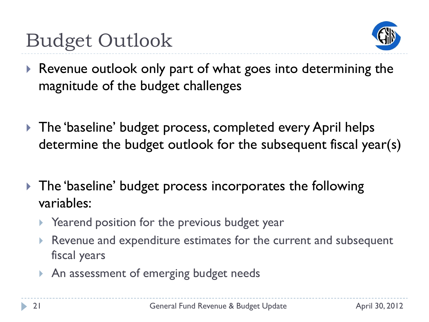

- ▶ Revenue outlook only part of what goes into determining the magnitude of the budget challenges
- ▶ The 'baseline' budget process, completed every April helps determine the budget outlook for the subsequent fiscal year(s)
- ▶ The 'baseline' budget process incorporates the following variables:
	- ▶ Yearend position for the previous budget year
	- Revenue and expenditure estimates for the current and subsequent fiscal years
	- An assessment of emerging budget needs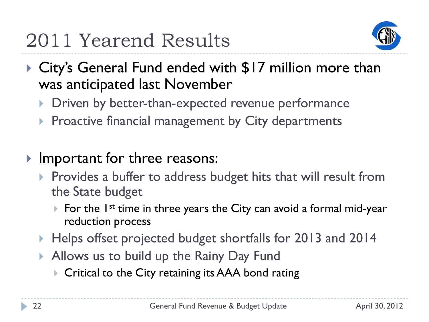

- ▶ City's General Fund ended with \$17 million more than was anticipated last November
	- Driven by better-than-expected revenue performance
	- **Proactive financial management by City departments**
- Important for three reasons:
	- $\triangleright$  Provides a buffer to address budget hits that will result from the State budget
		- For the  $I^{st}$  time in three years the City can avoid a formal mid-year reduction process
	- ▶ Helps offset projected budget shortfalls for 2013 and 2014
	- Allows us to build up the Rainy Day Fund
		- ▶ Critical to the City retaining its AAA bond rating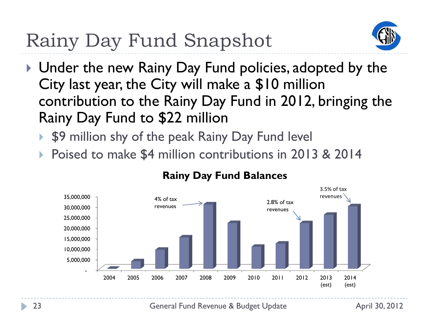## Rainy Day Fund Snapshot



- ▶ Under the new Rainy Day Fund policies, adopted by the City last year, the City will make a \$10 million contribution to the Rainy Day Fund in 2012, bringing the Rainy Day Fund to \$22 million
	- ▶ \$9 million shy of the peak Rainy Day Fund level
	- Poised to make \$4 million contributions in 2013 & 2014



#### **Rainy Day Fund Balances**

23 **General Fund Revenue & Budget Update April 30, 2012**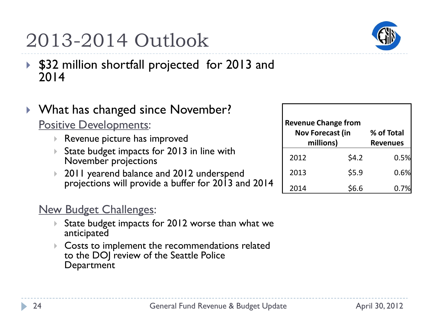### 2013-2014 Outlook

- \$32 million shortfall projected for 2013 and 2014
- ▶ What has changed since November? Positive Developments:
	- Revenue picture has improved
	- ▶ State budget impacts for 2013 in line with November projections
	- 2011 yearend balance and 2012 underspend projections will provide a buffer for 2013 and 2014

### **New Budget Challenges:**

- State budget impacts for 2012 worse than what we anticipated
- Costs to implement the recommendations related to the DOJ review of the Seattle Police **Department**

| <b>Revenue Change from</b><br><b>Nov Forecast (in</b><br>millions) |       | % of Total<br><b>Revenues</b> |  |  |
|--------------------------------------------------------------------|-------|-------------------------------|--|--|
| 2012                                                               | \$4.2 | 0.5%                          |  |  |
| 2013                                                               | \$5.9 | 0.6%                          |  |  |
| 2014                                                               | \$6.6 |                               |  |  |

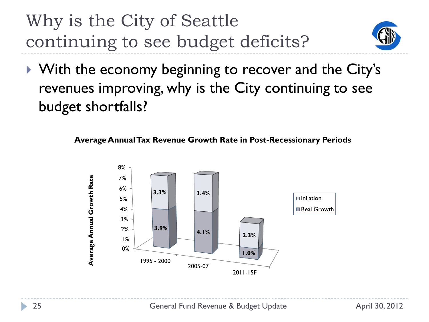Why is the City of Seattle continuing to see budget deficits?



▶ With the economy beginning to recover and the City's revenues improving, why is the City continuing to see budget shortfalls?



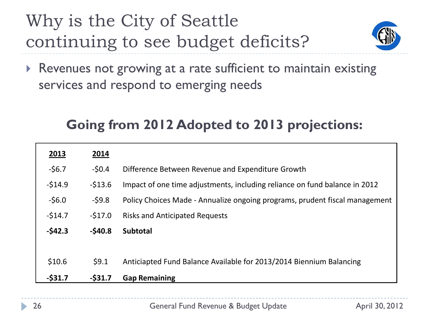### Why is the City of Seattle continuing to see budget deficits?



▶ Revenues not growing at a rate sufficient to maintain existing services and respond to emerging needs

### **Going from 2012 Adopted to 2013 projections:**

| 2013       | 2014     |                                                                             |
|------------|----------|-----------------------------------------------------------------------------|
| $-56.7$    | $-50.4$  | Difference Between Revenue and Expenditure Growth                           |
| $-514.9$   | $-513.6$ | Impact of one time adjustments, including reliance on fund balance in 2012  |
| $-56.0$    | $-59.8$  | Policy Choices Made - Annualize ongoing programs, prudent fiscal management |
| $-514.7$   | $-517.0$ | <b>Risks and Anticipated Requests</b>                                       |
| $-542.3$   | $-540.8$ | <b>Subtotal</b>                                                             |
|            |          |                                                                             |
| \$10.6     | 59.1     | Anticiapted Fund Balance Available for 2013/2014 Biennium Balancing         |
| $-$ \$31.7 | $-531.7$ | <b>Gap Remaining</b>                                                        |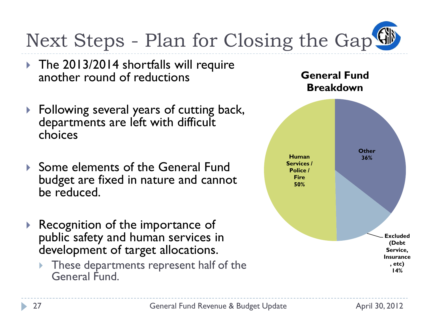

- ▶ The 2013/2014 shortfalls will require another round of reductions
- ▶ Following several years of cutting back, departments are left with difficult choices
- ▶ Some elements of the General Fund budget are fixed in nature and cannot be reduced.
- ▶ Recognition of the importance of public safety and human services in development of target allocations.
	- **These departments represent half of the** General Fund.

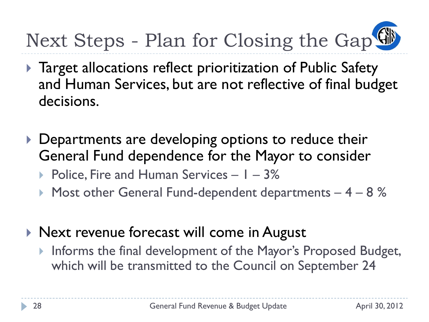

- ▶ Target allocations reflect prioritization of Public Safety and Human Services, but are not reflective of final budget decisions.
- Departments are developing options to reduce their General Fund dependence for the Mayor to consider
	- $\triangleright$  Police, Fire and Human Services  $1 3\%$
	- $\triangleright$  Most other General Fund-dependent departments  $-4 8$  %
- ▶ Next revenue forecast will come in August
	- Informs the final development of the Mayor's Proposed Budget, which will be transmitted to the Council on September 24